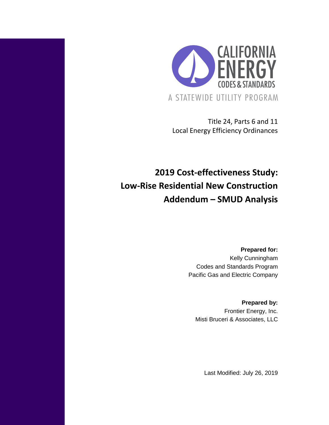

Title 24, Parts 6 and 11 Local Energy Efficiency Ordinances

# **2019 Cost-effectiveness Study: Low-Rise Residential New Construction Addendum – SMUD Analysis**

**Prepared for:** Kelly Cunningham Codes and Standards Program Pacific Gas and Electric Company

**Prepared by:** Frontier Energy, Inc. Misti Bruceri & Associates, LLC

Last Modified: July 26, 2019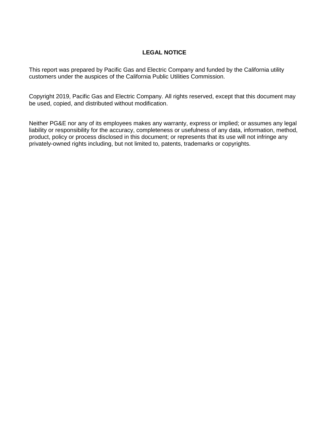#### **LEGAL NOTICE**

This report was prepared by Pacific Gas and Electric Company and funded by the California utility customers under the auspices of the California Public Utilities Commission.

Copyright 2019, Pacific Gas and Electric Company. All rights reserved, except that this document may be used, copied, and distributed without modification.

Neither PG&E nor any of its employees makes any warranty, express or implied; or assumes any legal liability or responsibility for the accuracy, completeness or usefulness of any data, information, method, product, policy or process disclosed in this document; or represents that its use will not infringe any privately-owned rights including, but not limited to, patents, trademarks or copyrights.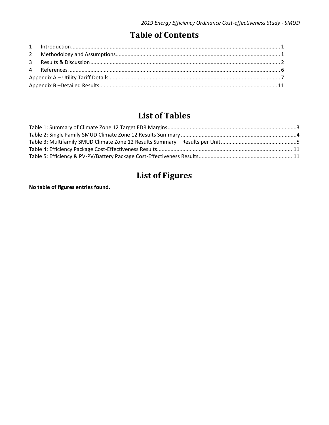## **Table of Contents**

# **List of Tables**

## **List of Figures**

**No table of figures entries found.**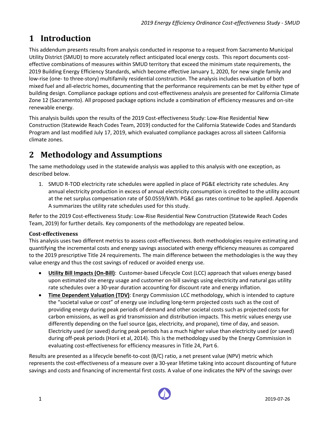## <span id="page-3-0"></span>**1 Introduction**

This addendum presents results from analysis conducted in response to a request from Sacramento Municipal Utility District (SMUD) to more accurately reflect anticipated local energy costs. This report documents costeffective combinations of measures within SMUD territory that exceed the minimum state requirements, the 2019 Building Energy Efficiency Standards, which become effective January 1, 2020, for new single family and low-rise (one- to three-story) multifamily residential construction. The analysis includes evaluation of both mixed fuel and all-electric homes, documenting that the performance requirements can be met by either type of building design. Compliance package options and cost-effectiveness analysis are presented for California Climate Zone 12 (Sacramento). All proposed package options include a combination of efficiency measures and on-site renewable energy.

This analysis builds upon the results of the 2019 Cost-effectiveness Study: Low-Rise Residential New Construction (Statewide Reach Codes Team, 2019) conducted for the California Statewide Codes and Standards Program and last modified July 17, 2019, which evaluated compliance packages across all sixteen California climate zones.

## <span id="page-3-1"></span>**2 Methodology and Assumptions**

The same methodology used in the statewide analysis was applied to this analysis with one exception, as described below.

1. SMUD R-TOD electricity rate schedules were applied in place of PG&E electricity rate schedules. Any annual electricity production in excess of annual electricity consumption is credited to the utility account at the net surplus compensation rate of \$0.0559/kWh. PG&E gas rates continue to be applied. Appendix A summarizes the utility rate schedules used for this study.

Refer to the 2019 Cost-effectiveness Study: Low-Rise Residential New Construction (Statewide Reach Codes Team, 2019) for further details. Key components of the methodology are repeated below.

### **Cost-effectiveness**

This analysis uses two different metrics to assess cost-effectiveness. Both methodologies require estimating and quantifying the incremental costs and energy savings associated with energy efficiency measures as compared to the 2019 prescriptive Title 24 requirements. The main difference between the methodologies is the way they value energy and thus the cost savings of reduced or avoided energy use.

- **Utility Bill Impacts (On-Bill)**: Customer-based Lifecycle Cost (LCC) approach that values energy based upon estimated site energy usage and customer on-bill savings using electricity and natural gas utility rate schedules over a 30-year duration accounting for discount rate and energy inflation.
- **Time Dependent Valuation (TDV)**: Energy Commission LCC methodology, which is intended to capture the "societal value or cost" of energy use including long-term projected costs such as the cost of providing energy during peak periods of demand and other societal costs such as projected costs for carbon emissions, as well as grid transmission and distribution impacts. This metric values energy use differently depending on the fuel source (gas, electricity, and propane), time of day, and season. Electricity used (or saved) during peak periods has a much higher value than electricity used (or saved) during off-peak periods (Horii et al, 2014). This is the methodology used by the Energy Commission in evaluating cost-effectiveness for efficiency measures in Title 24, Part 6.

Results are presented as a lifecycle benefit-to-cost (B/C) ratio, a net present value (NPV) metric which represents the cost-effectiveness of a measure over a 30-year lifetime taking into account discounting of future savings and costs and financing of incremental first costs. A value of one indicates the NPV of the savings over

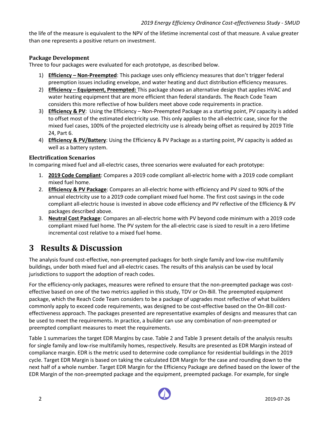the life of the measure is equivalent to the NPV of the lifetime incremental cost of that measure. A value greater than one represents a positive return on investment.

#### **Package Development**

Three to four packages were evaluated for each prototype, as described below.

- 1) **Efficiency – Non-Preempted**: This package uses only efficiency measures that don't trigger federal preemption issues including envelope, and water heating and duct distribution efficiency measures.
- 2) **Efficiency – Equipment, Preempted:** This package shows an alternative design that applies HVAC and water heating equipment that are more efficient than federal standards. The Reach Code Team considers this more reflective of how builders meet above code requirements in practice.
- 3) **Efficiency & PV**: Using the Efficiency Non-Preempted Package as a starting point, PV capacity is added to offset most of the estimated electricity use. This only applies to the all-electric case, since for the mixed fuel cases, 100% of the projected electricity use is already being offset as required by 2019 Title 24, Part 6.
- 4) **Efficiency & PV/Battery**: Using the Efficiency & PV Package as a starting point, PV capacity is added as well as a battery system.

#### **Electrification Scenarios**

In comparing mixed fuel and all-electric cases, three scenarios were evaluated for each prototype:

- 1. **2019 Code Compliant**: Compares a 2019 code compliant all-electric home with a 2019 code compliant mixed fuel home.
- 2. **Efficiency & PV Package**: Compares an all-electric home with efficiency and PV sized to 90% of the annual electricity use to a 2019 code compliant mixed fuel home. The first cost savings in the code compliant all-electric house is invested in above code efficiency and PV reflective of the Efficiency & PV packages described above.
- 3. **Neutral Cost Package**: Compares an all-electric home with PV beyond code minimum with a 2019 code compliant mixed fuel home. The PV system for the all-electric case is sized to result in a zero lifetime incremental cost relative to a mixed fuel home.

## <span id="page-4-0"></span>**3 Results & Discussion**

The analysis found cost-effective, non-preempted packages for both single family and low-rise multifamily buildings, under both mixed fuel and all-electric cases. The results of this analysis can be used by local jurisdictions to support the adoption of reach codes.

For the efficiency-only packages, measures were refined to ensure that the non-preempted package was costeffective based on one of the two metrics applied in this study, TDV or On-Bill. The preempted equipment package, which the Reach Code Team considers to be a package of upgrades most reflective of what builders commonly apply to exceed code requirements, was designed to be cost-effective based on the On-Bill costeffectiveness approach. The packages presented are representative examples of designs and measures that can be used to meet the requirements. In practice, a builder can use any combination of non-preempted or preempted compliant measures to meet the requirements.

[Table 1](#page-5-0) summarizes the target EDR Margins by case[. Table 2](#page-6-0) an[d Table 3](#page-7-0) present details of the analysis results for single family and low-rise multifamily homes, respectively. Results are presented as EDR Margin instead of compliance margin. EDR is the metric used to determine code compliance for residential buildings in the 2019 cycle. Target EDR Margin is based on taking the calculated EDR Margin for the case and rounding down to the next half of a whole number. Target EDR Margin for the Efficiency Package are defined based on the lower of the EDR Margin of the non-preempted package and the equipment, preempted package. For example, for single

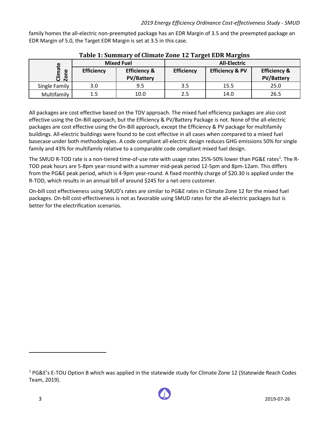family homes the all-electric non-preempted package has an EDR Margin of 3.5 and the preempted package an EDR Margin of 5.0, the Target EDR Margin is set at 3.5 in this case.

<span id="page-5-0"></span>

|                                 |                   |                                              | Tuble II building y of chinate bone 15 Turget bon Fig. Chip |                            |                                              |  |  |  |  |  |
|---------------------------------|-------------------|----------------------------------------------|-------------------------------------------------------------|----------------------------|----------------------------------------------|--|--|--|--|--|
|                                 |                   | <b>Mixed Fuel</b>                            | <b>All-Electric</b>                                         |                            |                                              |  |  |  |  |  |
| ate<br>$\omega$<br>Clim<br>Zone | <b>Efficiency</b> | <b>Efficiency &amp;</b><br><b>PV/Battery</b> | <b>Efficiency</b>                                           | <b>Efficiency &amp; PV</b> | <b>Efficiency &amp;</b><br><b>PV/Battery</b> |  |  |  |  |  |
| Single Family                   | 3.0               | 9.5                                          | 3.5                                                         | 15.5                       | 25.0                                         |  |  |  |  |  |
| Multifamily                     | 1.5               | 10.0                                         | 2.5                                                         | 14.0                       | 26.5                                         |  |  |  |  |  |

### **Table 1: Summary of Climate Zone 12 Target EDR Margins**

All packages are cost effective based on the TDV approach. The mixed fuel efficiency packages are also cost effective using the On-Bill approach, but the Efficiency & PV/Battery Package is not. None of the all-electric packages are cost effective using the On-Bill approach, except the Efficiency & PV package for multifamily buildings. All-electric buildings were found to be cost effective in all cases when compared to a mixed fuel basecase under both methodologies. A code compliant all-electric design reduces GHG emissions 50% for single family and 43% for multifamily relative to a comparable code compliant mixed fuel design.

The SMUD R-TOD rate is a non-tiered time-of-use rate with usage rates 25%-50% lower than PG&E rates<sup>1</sup>. The R-TOD peak hours are 5-8pm year-round with a summer mid-peak period 12-5pm and 8pm-12am. This differs from the PG&E peak period, which is 4-9pm year-round. A fixed monthly charge of \$20.30 is applied under the R-TOD, which results in an annual bill of around \$245 for a net-zero customer.

On-bill cost effectiveness using SMUD's rates are similar to PG&E rates in Climate Zone 12 for the mixed fuel packages. On-bill cost-effectiveness is not as favorable using SMUD rates for the all-electric packages but is better for the electrification scenarios.

<sup>&</sup>lt;sup>1</sup> PG&E's E-TOU Option B which was applied in the statewide study for Climate Zone 12 (Statewide Reach Codes Team, 2019).



 $\overline{a}$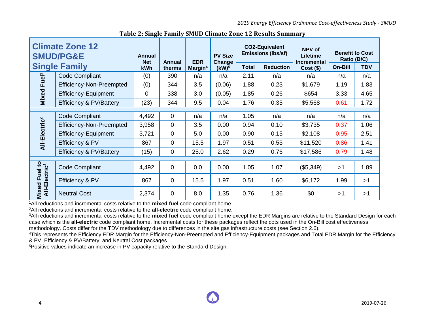*2019 Energy Efficiency Ordinance Cost-effectiveness Study - SMUD*

|                                            | <b>Climate Zone 12</b><br><b>SMUD/PG&amp;E</b> | Annual<br><b>Net</b> | Annual         | <b>EDR</b>          | <b>PV Size</b><br>Change |              | <b>CO2-Equivalent</b><br><b>Emissions (lbs/sf)</b> | NPV of<br><b>Lifetime</b><br><b>Incremental</b> | <b>Benefit to Cost</b><br>Ratio (B/C) |            |
|--------------------------------------------|------------------------------------------------|----------------------|----------------|---------------------|--------------------------|--------------|----------------------------------------------------|-------------------------------------------------|---------------------------------------|------------|
|                                            | <b>Single Family</b>                           | kWh                  | therms         | Margin <sup>4</sup> | (kW) <sup>5</sup>        | <b>Total</b> | <b>Reduction</b>                                   | $Cost($ \$)                                     | On-Bill                               | <b>TDV</b> |
| Fuel <sup>1</sup>                          | <b>Code Compliant</b>                          | (0)                  | 390            | n/a                 | n/a                      | 2.11         | n/a                                                | n/a                                             | n/a                                   | n/a        |
|                                            | <b>Efficiency-Non-Preempted</b>                | (0)                  | 344            | 3.5                 | (0.06)                   | 1.88         | 0.23                                               | \$1,679                                         | 1.19                                  | 1.83       |
| Mixed                                      | <b>Efficiency-Equipment</b>                    | $\overline{0}$       | 338            | 3.0                 | (0.05)                   | 1.85         | 0.26                                               | \$654                                           | 3.33                                  | 4.65       |
|                                            | Efficiency & PV/Battery                        | (23)                 | 344            | 9.5                 | 0.04                     | 1.76         | 0.35                                               | \$5,568                                         | 0.61                                  | 1.72       |
|                                            |                                                |                      |                |                     |                          |              |                                                    |                                                 |                                       |            |
|                                            | <b>Code Compliant</b>                          | 4,492                | $\mathbf 0$    | n/a                 | n/a                      | 1.05         | n/a                                                | n/a                                             | n/a                                   | n/a        |
|                                            | <b>Efficiency-Non-Preempted</b>                | 3,958                | 0              | 3.5                 | 0.00                     | 0.94         | 0.10                                               | \$3,735                                         | 0.37                                  | 1.06       |
|                                            | <b>Efficiency-Equipment</b>                    | 3,721                | 0              | 5.0                 | 0.00                     | 0.90         | 0.15                                               | \$2,108                                         | 0.95                                  | 2.51       |
| All-Electric <sup>2</sup>                  | Efficiency & PV                                | 867                  | 0              | 15.5                | 1.97                     | 0.51         | 0.53                                               | \$11,520                                        | 0.86                                  | 1.41       |
|                                            | Efficiency & PV/Battery                        | (15)                 | 0              | 25.0                | 2.62                     | 0.29         | 0.76                                               | \$17,586                                        | 0.79                                  | 1.48       |
|                                            |                                                |                      |                |                     |                          |              |                                                    |                                                 |                                       |            |
|                                            | <b>Code Compliant</b>                          | 4,492                | $\mathbf 0$    | 0.0                 | 0.00                     | 1.05         | 1.07                                               | (\$5,349)                                       | >1                                    | 1.89       |
| Mixed Fuel to<br>All-Electric <sup>3</sup> | Efficiency & PV                                | 867                  | $\mathbf 0$    | 15.5                | 1.97                     | 0.51         | 1.60                                               | \$6,172                                         | 1.99                                  | >1         |
|                                            | <b>Neutral Cost</b>                            | 2,374                | $\overline{0}$ | 8.0                 | 1.35                     | 0.76         | 1.36                                               | \$0                                             | >1                                    | >1         |

**Table 2: Single Family SMUD Climate Zone 12 Results Summary**

<span id="page-6-0"></span><sup>1</sup>All reductions and incremental costs relative to the **mixed fuel** code compliant home.

<sup>2</sup>All reductions and incremental costs relative to the **all-electric** code compliant home.

<sup>3</sup>All reductions and incremental costs relative to the **mixed fuel** code compliant home except the EDR Margins are relative to the Standard Design for each case which is the **all-electric** code compliant home. Incremental costs for these packages reflect the cots used in the On-Bill cost effectiveness methodology. Costs differ for the TDV methodology due to differences in the site gas infrastructure costs (see Section 2.6).

<sup>4</sup>This represents the Efficiency EDR Margin for the Efficiency-Non-Preempted and Efficiency-Equipment packages and Total EDR Margin for the Efficiency & PV, Efficiency & PV/Battery, and Neutral Cost packages.

5Positive values indicate an increase in PV capacity relative to the Standard Design.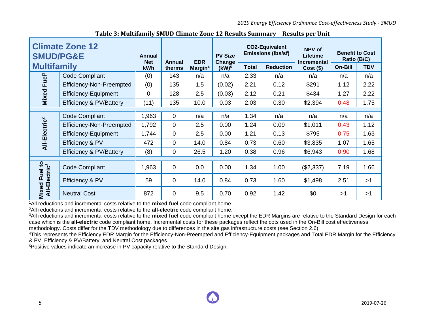*2019 Energy Efficiency Ordinance Cost-effectiveness Study - SMUD*

| <b>SMUD/PG&amp;E</b>                       | <b>Climate Zone 12</b>             | Annual<br><b>Net</b> | Annual         | <b>EDR</b>          | <b>PV Size</b><br><b>Change</b> |       | <b>CO2-Equivalent</b><br><b>Emissions (lbs/sf)</b> | NPV of<br><b>Lifetime</b><br><b>Incremental</b> | <b>Benefit to Cost</b><br>Ratio (B/C) |            |
|--------------------------------------------|------------------------------------|----------------------|----------------|---------------------|---------------------------------|-------|----------------------------------------------------|-------------------------------------------------|---------------------------------------|------------|
| <b>Multifamily</b>                         |                                    | kWh                  | therms         | Margin <sup>4</sup> | (kW) <sup>5</sup>               | Total | <b>Reduction</b>                                   | $Cost($ \$)                                     | On-Bill                               | <b>TDV</b> |
| Fuel <sup>1</sup>                          | <b>Code Compliant</b>              | (0)                  | 143            | n/a                 | n/a                             | 2.33  | n/a                                                | n/a                                             | n/a                                   | n/a        |
|                                            | Efficiency-Non-Preempted           | (0)                  | 135            | 1.5                 | (0.02)                          | 2.21  | 0.12                                               | \$291                                           | 1.12                                  | 2.22       |
| Mixed <sub>1</sub>                         | <b>Efficiency-Equipment</b>        | 0                    | 128            | 2.5                 | (0.03)                          | 2.12  | 0.21                                               | \$434                                           | 1.27                                  | 2.22       |
|                                            | <b>Efficiency &amp; PV/Battery</b> | (11)                 | 135            | 10.0                | 0.03                            | 2.03  | 0.30                                               | \$2,394                                         | 0.48                                  | 1.75       |
|                                            |                                    |                      |                |                     |                                 |       |                                                    |                                                 |                                       |            |
|                                            | <b>Code Compliant</b>              | 1,963                | 0              | n/a                 | n/a                             | 1.34  | n/a                                                | n/a                                             | n/a                                   | n/a        |
|                                            | <b>Efficiency-Non-Preempted</b>    | 1,792                | $\overline{0}$ | 2.5                 | 0.00                            | 1.24  | 0.09                                               | \$1,011                                         | 0.43                                  | 1.12       |
|                                            | <b>Efficiency-Equipment</b>        | 1,744                | 0              | 2.5                 | 0.00                            | 1.21  | 0.13                                               | \$795                                           | 0.75                                  | 1.63       |
| All-Electric <sup>2</sup>                  | Efficiency & PV                    | 472                  | 0              | 14.0                | 0.84                            | 0.73  | 0.60                                               | \$3,835                                         | 1.07                                  | 1.65       |
|                                            | Efficiency & PV/Battery            | (8)                  | 0              | 26.5                | 1.20                            | 0.38  | 0.96                                               | \$6,943                                         | 0.90                                  | 1.68       |
|                                            |                                    |                      |                |                     |                                 |       |                                                    |                                                 |                                       |            |
|                                            | <b>Code Compliant</b>              | 1,963                | $\overline{0}$ | 0.0                 | 0.00                            | 1.34  | 1.00                                               | (\$2,337)                                       | 7.19                                  | 1.66       |
| Mixed Fuel to<br>All-Electric <sup>3</sup> | Efficiency & PV                    | 59                   | $\mathbf 0$    | 14.0                | 0.84                            | 0.73  | 1.60                                               | \$1,498                                         | 2.51                                  | >1         |
|                                            | <b>Neutral Cost</b>                | 872                  | $\overline{0}$ | 9.5                 | 0.70                            | 0.92  | 1.42                                               | \$0                                             | >1                                    | >1         |

**Table 3: Multifamily SMUD Climate Zone 12 Results Summary – Results per Unit**

<span id="page-7-0"></span><sup>1</sup>All reductions and incremental costs relative to the **mixed fuel** code compliant home.

<sup>2</sup>All reductions and incremental costs relative to the **all-electric** code compliant home.

<sup>3</sup>All reductions and incremental costs relative to the **mixed fuel** code compliant home except the EDR Margins are relative to the Standard Design for each case which is the **all-electric** code compliant home. Incremental costs for these packages reflect the cots used in the On-Bill cost effectiveness methodology. Costs differ for the TDV methodology due to differences in the site gas infrastructure costs (see Section 2.6).

<sup>4</sup>This represents the Efficiency EDR Margin for the Efficiency-Non-Preempted and Efficiency-Equipment packages and Total EDR Margin for the Efficiency & PV, Efficiency & PV/Battery, and Neutral Cost packages.

5Positive values indicate an increase in PV capacity relative to the Standard Design.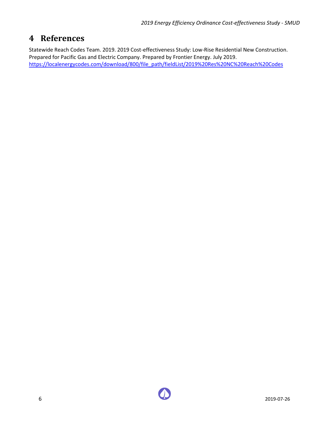## <span id="page-8-0"></span>**4 References**

Statewide Reach Codes Team. 2019. 2019 Cost-effectiveness Study: Low-Rise Residential New Construction. Prepared for Pacific Gas and Electric Company. Prepared by Frontier Energy. July 2019. [https://localenergycodes.com/download/800/file\\_path/fieldList/2019%20Res%20NC%20Reach%20Codes](https://localenergycodes.com/download/800/file_path/fieldList/2019%20Res%20NC%20Reach%20Codes)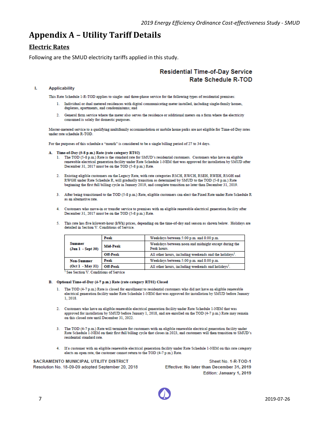## <span id="page-9-0"></span>**Appendix A – Utility Tariff Details**

### **Electric Rates**

Following are the SMUD electricity tariffs applied in this study.

### **Residential Time-of-Day Service** Rate Schedule R-TOD

#### L. **Applicability**

This Rate Schedule 1-R-TOD applies to single- and three-phase service for the following types of residential premises:

- 1. Individual or dual metered residences with digital communicating meter installed, including single-family homes, duplexes, apartments, and condominiums; and
- 2. General farm service where the meter also serves the residence or additional meters on a farm where the electricity consumed is solely for domestic purposes.

Master-metered service to a qualifying multifamily accommodation or mobile home parks are not eligible for Time-of-Day rates under rate schedule R-TOD.

For the purposes of this schedule a "month" is considered to be a single billing period of 27 to 34 days.

- A. Time-of-Day (5-8 p.m.) Rate (rate category RT02)
	- 1. The TOD (5-8 p.m.) Rate is the standard rate for SMUD's residential customers. Customers who have an eligible renewable electrical generation facility under Rate Schedule 1-NEM that was approved for installation by SMUD after December 31, 2017 must be on the TOD (5-8 p.m.) Rate.
	- 2. Existing eligible customers on the Legacy Rate, with rate categories RSCH, RWCH, RSEH, RWEH, RSGH and RWGH under Rate Schedule R, will gradually transition as determined by SMUD to the TOD (5-8 p.m.) Rate beginning the first full billing cycle in January 2019, and complete transition no later than December 31, 2019.
	- 3. After being transitioned to the TOD (5-8 p.m.) Rate, eligible customers can elect the Fixed Rate under Rate Schedule R as an alternative rate.
	- 4. Customers who move-in or transfer service to premises with an eligible renewable electrical generation facility after December 31, 2017 must be on the TOD (5-8 p.m.) Rate.
	- 5. This rate has five kilowatt-hour (kWh) prices, depending on the time-of-day and season as shown below. Holidays are detailed in Section V. Conditions of Service.

|                                    | Peak            | Weekdays between 5:00 p.m. and 8:00 p.m.                            |  |  |  |  |  |  |
|------------------------------------|-----------------|---------------------------------------------------------------------|--|--|--|--|--|--|
| <b>Summer</b><br>(Jun 1 - Sept 30) | <b>Mid-Peak</b> | Weekdays between noon and midnight except during the<br>Peak hours. |  |  |  |  |  |  |
|                                    | Off-Peak        | All other hours, including weekends and the holidays <sup>1</sup> . |  |  |  |  |  |  |
| <b>Non-Summer</b>                  | Peak            | Weekdays between 5:00 p.m. and 8:00 p.m.                            |  |  |  |  |  |  |
| (Oct 1 - May 31)                   | Off-Peak        | All other hours, including weekends and holidays <sup>1</sup> .     |  |  |  |  |  |  |

<sup>1</sup> See Section V. Conditions of Service

#### B. Optional Time-of-Day (4-7 p.m.) Rate (rate category RT01) Closed

- 1. The TOD (4-7 p.m.) Rate is closed for enrollment to residential customers who did not have an eligible renewable electrical generation facility under Rate Schedule 1-NEM that was approved for installation by SMUD before January 1 2018
- 2. Customers who have an eligible renewable electrical generation facility under Rate Schedule 1-NEM that was approved for installation by SMUD before January 1, 2018, and are enrolled on the TOD (4-7 p.m.) Rate may remain on this closed rate until December 31, 2022.
- 3. The TOD (4-7 p.m.) Rate will terminate for customers with an eligible renewable electrical generation facility under Rate Schedule 1-NEM on their first full billing cycle that closes in 2023, and customers will then transition to SMUD's residential standard rate.
- 4. If a customer with an eligible renewable electrical generation facility under Rate Schedule 1-NEM on this rate category elects an open rate, the customer cannot return to the TOD (4-7 p.m.) Rate.

#### SACRAMENTO MUNICIPAL UTILITY DISTRICT

Resolution No. 18-09-09 adopted September 20, 2018

Sheet No. 1-R-TOD-1 Effective: No later than December 31, 2019 Edition: January 1, 2019

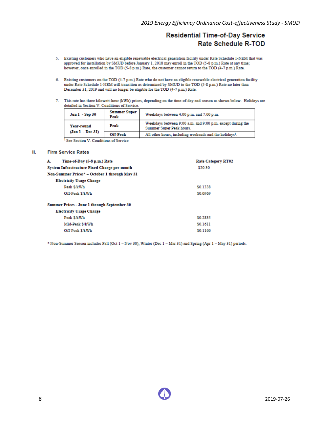## **Residential Time-of-Day Service Rate Schedule R-TOD**

- 5. Existing customers who have an eligible renewable electrical generation facility under Rate Schedule 1-NEM that was approved for installation by SMUD before January 1, 2018 may enroll in the TOD (5-8 p.m.) Rate at any time; however, once enrolled in the TOD (5-8 p.m.) Rate, the customer cannot return to the TOD (4-7 p.m.) Rate.
- 6. Existing customers on the TOD (4-7 p.m.) Rate who do not have an eligible renewable electrical generation facility under Rate Schedule 1-NEM will transition as determined by SMUD to the TOD (5-8 p.m.) Rate no later than December 31, 2019 and will no longer be eligible for the TOD (4-7 p.m.) Rate.
- 7. This rate has three kilowatt-hour (kWh) prices, depending on the time-of-day and season as shown below. Holidays are detailed in Section V. Conditions of Service.

| Jun 1 - Sep 30                               | <b>Summer Super</b><br>Peak | Weekdays between 4:00 p.m. and 7:00 p.m.                                               |
|----------------------------------------------|-----------------------------|----------------------------------------------------------------------------------------|
| Year-round                                   | Peak                        | Weekdays between 9:00 a.m. and 9:00 p.m. except during the<br>Summer Super Peak hours. |
| (Jan 1 - Dec 31)                             | <b>Off-Peak</b>             | All other hours, including weekends and the holidays <sup>1</sup> .                    |
| l Carl Carolina XI, Caroliniano, al Carolina |                             |                                                                                        |

See Section V. Conditions of Service

#### Ш. **Firm Service Rates**

| Time-of-Day (5-8 p.m.) Rate<br>А.                   | <b>Rate Category RT02</b> |
|-----------------------------------------------------|---------------------------|
| <b>System Infrastructure Fixed Charge per month</b> | \$20.30                   |
| Non-Summer Prices* - October 1 through May 31       |                           |
| <b>Electricity Usage Charge</b>                     |                           |
| Peak \$/kWh                                         | \$0.1338                  |
| Off-Peak \$/kWh                                     | \$0,0969                  |
| Summer Prices - June 1 through September 30         |                           |
| <b>Electricity Usage Charge</b>                     |                           |
| Peak \$/kWh                                         | \$0.2835                  |
| Mid-Peak \$/kWh                                     | \$0.1611                  |
| Off-Peak \$/kWh                                     | \$0.1166                  |

\* Non-Summer Season includes Fall (Oct 1 - Nov 30), Winter (Dec 1 - Mar 31) and Spring (Apr 1 - May 31) periods.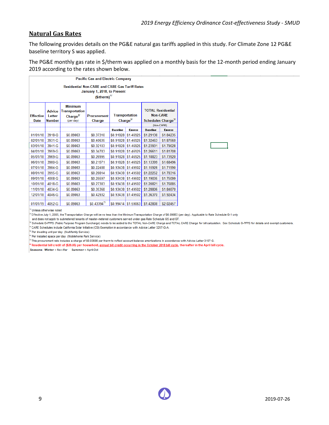#### **Natural Gas Rates**

The following provides details on the PG&E natural gas tariffs applied in this study. For Climate Zone 12 PG&E baseline territory S was applied.

The PG&E monthly gas rate in \$/therm was applied on a monthly basis for the 12-month period ending January 2019 according to the rates shown below.

|                                 |                                                                                                                                                                                                                                                                                                    |           | <b>Pacific Gas and Electric Company</b> |                 |                     |                 |               |  |  |  |  |  |  |  |  |
|---------------------------------|----------------------------------------------------------------------------------------------------------------------------------------------------------------------------------------------------------------------------------------------------------------------------------------------------|-----------|-----------------------------------------|-----------------|---------------------|-----------------|---------------|--|--|--|--|--|--|--|--|
|                                 | <b>Residential Non-CARE and CARE Gas Tariff Rates</b><br>January 1, 2018, to Present<br>$(S/\text{therm})^{1/2}$                                                                                                                                                                                   |           |                                         |                 |                     |                 |               |  |  |  |  |  |  |  |  |
| <b>Effective</b><br><b>Date</b> | <b>Minimum</b><br><b>TOTAL Residential</b><br><b>Transportation</b><br><b>Advice</b><br><b>Non-CARE</b><br><b>Transportation</b><br>Charge $^{2/}$<br>Letter<br><b>Procurement</b><br>Charge <sup>2/</sup><br>Schedules Charge <sup>3/</sup><br><b>Number</b><br>Charge<br>(per day)<br>(Non-CARE) |           |                                         |                 |                     |                 |               |  |  |  |  |  |  |  |  |
|                                 |                                                                                                                                                                                                                                                                                                    |           |                                         | <b>Baseline</b> | <b>Excess</b>       | <b>Baseline</b> | <b>Excess</b> |  |  |  |  |  |  |  |  |
| 01/01/18                        | 3918-G                                                                                                                                                                                                                                                                                             | \$0.09863 | \$0.37310                               |                 | \$0.91828 \$1.46925 | \$1.29138       | \$1.84235     |  |  |  |  |  |  |  |  |
| 02/01/18                        | 3931-G                                                                                                                                                                                                                                                                                             | \$0.09863 | \$0.40635                               |                 | \$0.91828 \$1.46925 | \$1.32463       | \$1.87560     |  |  |  |  |  |  |  |  |
| 03/01/18                        | 3941-G                                                                                                                                                                                                                                                                                             | \$0.09863 | \$0.32103                               |                 | \$0.91828 \$1.46925 | \$1.23931       | \$1.79028     |  |  |  |  |  |  |  |  |
| 04/01/18                        | 3959-G                                                                                                                                                                                                                                                                                             | \$0.09863 | \$0.34783                               |                 | \$0.91828 \$1.46925 | \$1.26611       | \$1.81708     |  |  |  |  |  |  |  |  |
| 05/01/18                        | 3969-G                                                                                                                                                                                                                                                                                             | \$0.09863 | \$0.26995                               |                 | \$0.91828 \$1.46925 | \$1.18823       | \$1.73920     |  |  |  |  |  |  |  |  |
| 06/01/18                        | 3980-G                                                                                                                                                                                                                                                                                             | \$0.09863 | \$0.21571                               |                 | \$0.91828 \$1.46925 | \$1.13399       | \$1.68496     |  |  |  |  |  |  |  |  |
| 07/01/18                        | 3984-G                                                                                                                                                                                                                                                                                             | \$0.09863 | \$0.22488                               |                 | \$0.93438 \$1.49502 | \$1.15926       | \$1.71990     |  |  |  |  |  |  |  |  |
| 08/01/18                        | 3995-G                                                                                                                                                                                                                                                                                             | \$0.09863 | \$0.28814                               |                 | \$0.93438 \$1.49502 | \$1,22252       | \$1.78316     |  |  |  |  |  |  |  |  |
| 09/01/18                        | 4008-G                                                                                                                                                                                                                                                                                             | \$0.09863 | \$0.25597                               |                 | \$0.93438 \$1.49502 | \$1.19035       | \$1.75099     |  |  |  |  |  |  |  |  |
| 10/01/18                        | 4018-G                                                                                                                                                                                                                                                                                             | \$0.09863 | \$0.27383                               |                 | \$0.93438 \$1.49502 | \$1.20821       | \$1.76885     |  |  |  |  |  |  |  |  |
| 11/01/18                        | 4034-G                                                                                                                                                                                                                                                                                             | \$0.09863 | \$0.35368                               |                 | \$0.93438 \$1.49502 | \$1,28806       | \$1.84870     |  |  |  |  |  |  |  |  |
| 12/01/18                        | 4046-G                                                                                                                                                                                                                                                                                             | \$0.09863 | \$0.42932                               |                 | \$0.93438 \$1.49502 | \$1.36370       | \$1.92434     |  |  |  |  |  |  |  |  |
| 01/01/19                        | 4052-G                                                                                                                                                                                                                                                                                             | \$0.09863 | $$0.43394$ <sup>77</sup>                |                 | \$0.99414 \$1.59063 | \$1,42808       | \$2.02457     |  |  |  |  |  |  |  |  |

Unless otherwise noted

Effective July 1, 2005, the Transportation Charge will be no less than the Minimum Transportation Charge of \$0.09863 (per day). Applicable to Rate Schedule G-1 only

and does not apply to submetered tenants of master-metered customers served under gas Rate Schedule GS and GT.

Schedule G-PPPS (Public Purpose Program Surcharge) needs to be added to the TOTAL Non-CARE Charge and TOTAL CARE Charge for bill calculation. See Schedule G-PPPS for details and exempt customers. CARE Schedules include California Solar Initiative (CSI) Exemption in accordance with Advice Letter 3257-G-A.

Per dwelling unit per day (Multifamily Service)

6/ Per installed space per day (Mobilehome Park Service)

This procurement rate includes a charge of \$0.03686 per therm to reflect account balance amortizations in accordance with Advice Letter 3157-G.

Residential bill credit of (\$29.85) per household, <u>annual bill credit occurring in the October 2018 bill cycle,</u> thereafter in the April bill cycle.

Seasons: Winter = Nov-Mar Summer = April-Oct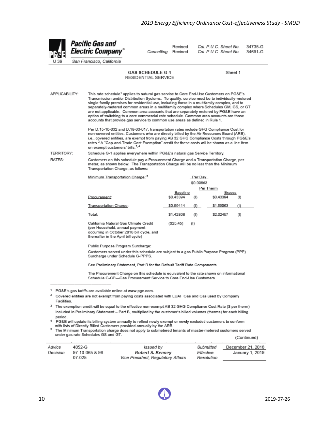Sheet 1

34735-G

34691-G

Pacific Gas and Revised Cal. P.U.C. Sheet No. **Electric Company\*** Cal. P.U.C. Sheet No. Cancelling Revised San Francisco, California **GAS SCHEDULE G-1** RESIDENTIAL SERVICE

APPLICABILITY: This rate schedule<sup>1</sup> applies to natural gas service to Core End-Use Customers on PG&E's Transmission and/or Distribution Systems. To qualify, service must be to individually-metered single family premises for residential use, including those in a multifamily complex, and to separately-metered common areas in a multifamily complex where Schedules GM, GS, or GT are not applicable. Common area accounts that are separately metered by PG&E have an option of switching to a core commercial rate schedule. Common area accounts are those accounts that provide gas service to common use areas as defined in Rule 1. Per D.15-10-032 and D.18-03-017, transportation rates include GHG Compliance Cost for non-covered entities. Customers who are directly billed by the Air Resources Board (ARB), i.e., covered entities, are exempt from paying AB 32 GHG Compliance Costs through PG&E's rates.<sup>2</sup> A "Cap-and-Trade Cost Exemption" credit for these costs will be shown as a line item on exempt customers' bills.<sup>3,4</sup> **TERRITORY:** Schedule G-1 applies everywhere within PG&E's natural gas Service Territory. Customers on this schedule pay a Procurement Charge and a Transportation Charge, per RATES: meter, as shown below. The Transportation Charge will be no less than the Minimum Transportation Charge, as follows: Minimum Transportation Charge: 5 Per Day \$0.09863 Per Therm Baseline **Excess** Procurement: \$0.43394  $(1)$ \$0.43394  $(1)$ Transportation Charge: \$0.99414  $(1)$ \$1.59063  $(1)$ Total: \$1,42808 \$2.02457  $(1)$  $(1)$ California Natural Gas Climate Credit  $(S25.45)$  $(1)$ (per Household, annual payment occurring in October 2018 bill cycle, and thereafter in the April bill cycle) Public Purpose Program Surcharge:

> Customers served under this schedule are subject to a gas Public Purpose Program (PPP) Surcharge under Schedule G-PPPS.

See Preliminary Statement, Part B for the Default Tariff Rate Components.

The Procurement Charge on this schedule is equivalent to the rate shown on informational Schedule G-CP-Gas Procurement Service to Core End-Use Customers.

The Minimum Transportation charge does not apply to submetered tenants of master-metered customers served under gas rate Schedules GS and GT. (Continued)

| Advice   | 4052-G          | Issued by                          | Submitted  | December 21, 2018 |
|----------|-----------------|------------------------------------|------------|-------------------|
| Decision | 97-10-065 & 98- | Robert S. Kenney                   | Effective  | January 1, 2019   |
|          | 07-025          | Vice President, Regulatory Affairs | Resolution |                   |

<sup>&</sup>lt;sup>1</sup> PG&E's gas tariffs are available online at www.pge.com.

<sup>&</sup>lt;sup>2</sup> Covered entities are not exempt from paying costs associated with LUAF Gas and Gas used by Company Facilities

<sup>&</sup>lt;sup>3</sup> The exemption credit will be equal to the effective non-exempt AB 32 GHG Compliance Cost Rate (\$ per therm) included in Preliminary Statement - Part B, multiplied by the customer's billed volumes (therms) for each billing period.

<sup>&</sup>lt;sup>4</sup> PG&E will update its billing system annually to reflect newly exempt or newly excluded customers to conform with lists of Directly Billed Customers provided annually by the ARB.